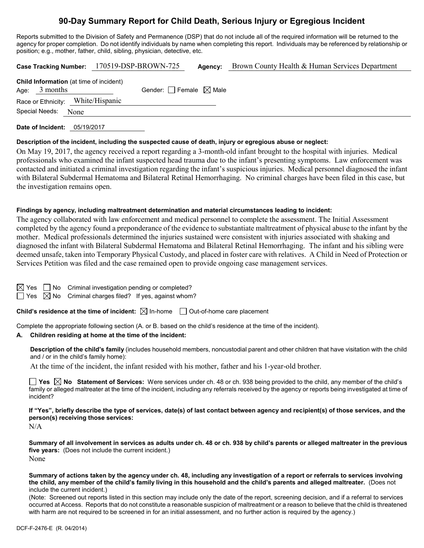# **90-Day Summary Report for Child Death, Serious Injury or Egregious Incident**

Reports submitted to the Division of Safety and Permanence (DSP) that do not include all of the required information will be returned to the agency for proper completion. Do not identify individuals by name when completing this report. Individuals may be referenced by relationship or position; e.g., mother, father, child, sibling, physician, detective, etc.

|  |                 |      | Case Tracking Number: 170519-DSP-BROWN-725     |                                 | Agency: | Brown County Health & Human Services Department |
|--|-----------------|------|------------------------------------------------|---------------------------------|---------|-------------------------------------------------|
|  | Age: $3$ months |      | <b>Child Information</b> (at time of incident) | Gender: Female $\boxtimes$ Male |         |                                                 |
|  |                 |      | Race or Ethnicity: White/Hispanic              |                                 |         |                                                 |
|  | Special Needs:  | None |                                                |                                 |         |                                                 |
|  |                 |      |                                                |                                 |         |                                                 |

**Date of Incident:** 05/19/2017

#### **Description of the incident, including the suspected cause of death, injury or egregious abuse or neglect:**

On May 19, 2017, the agency received a report regarding a 3-month-old infant brought to the hospital with injuries. Medical professionals who examined the infant suspected head trauma due to the infant's presenting symptoms. Law enforcement was contacted and initiated a criminal investigation regarding the infant's suspicious injuries. Medical personnel diagnosed the infant with Bilateral Subdermal Hematoma and Bilateral Retinal Hemorrhaging. No criminal charges have been filed in this case, but the investigation remains open.

#### **Findings by agency, including maltreatment determination and material circumstances leading to incident:**

The agency collaborated with law enforcement and medical personnel to complete the assessment. The Initial Assessment completed by the agency found a preponderance of the evidence to substantiate maltreatment of physical abuse to the infant by the mother. Medical professionals determined the injuries sustained were consistent with injuries associated with shaking and diagnosed the infant with Bilateral Subdermal Hematoma and Bilateral Retinal Hemorrhaging. The infant and his sibling were deemed unsafe, taken into Temporary Physical Custody, and placed in foster care with relatives. A Child in Need of Protection or Services Petition was filed and the case remained open to provide ongoing case management services.

|  | $\boxtimes$ Yes $\Box$ No Criminal investigation pending or completed?  |
|--|-------------------------------------------------------------------------|
|  | $\Box$ Yes $\boxtimes$ No Criminal charges filed? If yes, against whom? |

**Child's residence at the time of incident:**  $\boxtimes$  In-home  $\Box$  Out-of-home care placement

Complete the appropriate following section (A. or B. based on the child's residence at the time of the incident).

#### **A. Children residing at home at the time of the incident:**

**Description of the child's family** (includes household members, noncustodial parent and other children that have visitation with the child and / or in the child's family home):

At the time of the incident, the infant resided with his mother, father and his 1-year-old brother.

**Yes No Statement of Services:** Were services under ch. 48 or ch. 938 being provided to the child, any member of the child's family or alleged maltreater at the time of the incident, including any referrals received by the agency or reports being investigated at time of incident?

**If "Yes", briefly describe the type of services, date(s) of last contact between agency and recipient(s) of those services, and the person(s) receiving those services:**

N/A

**Summary of all involvement in services as adults under ch. 48 or ch. 938 by child's parents or alleged maltreater in the previous five years:** (Does not include the current incident.) None

**Summary of actions taken by the agency under ch. 48, including any investigation of a report or referrals to services involving the child, any member of the child's family living in this household and the child's parents and alleged maltreater.** (Does not include the current incident.)

(Note: Screened out reports listed in this section may include only the date of the report, screening decision, and if a referral to services occurred at Access. Reports that do not constitute a reasonable suspicion of maltreatment or a reason to believe that the child is threatened with harm are not required to be screened in for an initial assessment, and no further action is required by the agency.)